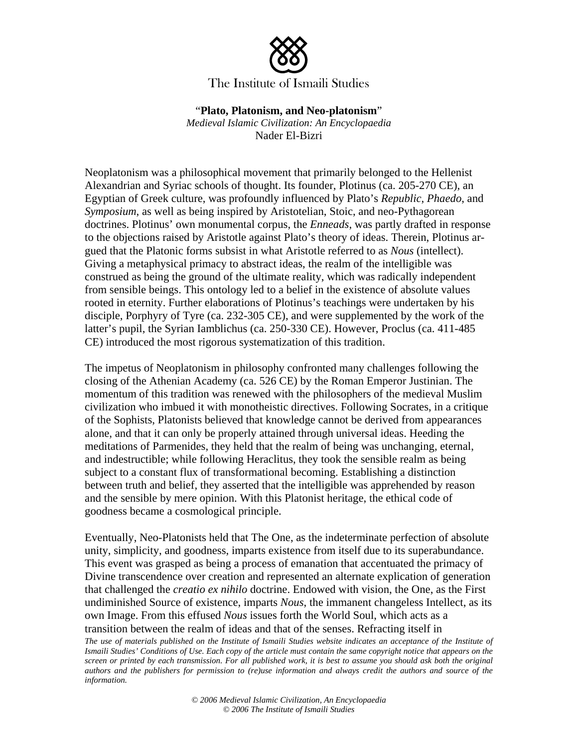

"**Plato, Platonism, and Neo-platonism**" *Medieval Islamic Civilization: An Encyclopaedia* Nader El-Bizri

Neoplatonism was a philosophical movement that primarily belonged to the Hellenist Alexandrian and Syriac schools of thought. Its founder, Plotinus (ca. 205-270 CE), an Egyptian of Greek culture, was profoundly influenced by Plato's *Republic*, *Phaedo*, and *Symposium*, as well as being inspired by Aristotelian, Stoic, and neo-Pythagorean doctrines. Plotinus' own monumental corpus, the *Enneads*, was partly drafted in response to the objections raised by Aristotle against Plato's theory of ideas. Therein, Plotinus argued that the Platonic forms subsist in what Aristotle referred to as *Nous* (intellect). Giving a metaphysical primacy to abstract ideas, the realm of the intelligible was construed as being the ground of the ultimate reality, which was radically independent from sensible beings. This ontology led to a belief in the existence of absolute values rooted in eternity. Further elaborations of Plotinus's teachings were undertaken by his disciple, Porphyry of Tyre (ca. 232-305 CE), and were supplemented by the work of the latter's pupil, the Syrian Iamblichus (ca. 250-330 CE). However, Proclus (ca. 411-485 CE) introduced the most rigorous systematization of this tradition.

The impetus of Neoplatonism in philosophy confronted many challenges following the closing of the Athenian Academy (ca. 526 CE) by the Roman Emperor Justinian. The momentum of this tradition was renewed with the philosophers of the medieval Muslim civilization who imbued it with monotheistic directives. Following Socrates, in a critique of the Sophists, Platonists believed that knowledge cannot be derived from appearances alone, and that it can only be properly attained through universal ideas. Heeding the meditations of Parmenides, they held that the realm of being was unchanging, eternal, and indestructible; while following Heraclitus, they took the sensible realm as being subject to a constant flux of transformational becoming. Establishing a distinction between truth and belief, they asserted that the intelligible was apprehended by reason and the sensible by mere opinion. With this Platonist heritage, the ethical code of goodness became a cosmological principle.

Eventually, Neo-Platonists held that The One, as the indeterminate perfection of absolute unity, simplicity, and goodness, imparts existence from itself due to its superabundance. This event was grasped as being a process of emanation that accentuated the primacy of Divine transcendence over creation and represented an alternate explication of generation that challenged the *creatio ex nihilo* doctrine. Endowed with vision, the One, as the First undiminished Source of existence, imparts *Nous*, the immanent changeless Intellect, as its own Image. From this effused *Nous* issues forth the World Soul, which acts as a transition between the realm of ideas and that of the senses. Refracting itself in

The use of materials published on the Institute of Ismaili Studies website indicates an acceptance of the Institute of *Ismaili Studies' Conditions of Use. Each copy of the article must contain the same copyright notice that appears on the screen or printed by each transmission. For all published work, it is best to assume you should ask both the original authors and the publishers for permission to (re)use information and always credit the authors and source of the information.*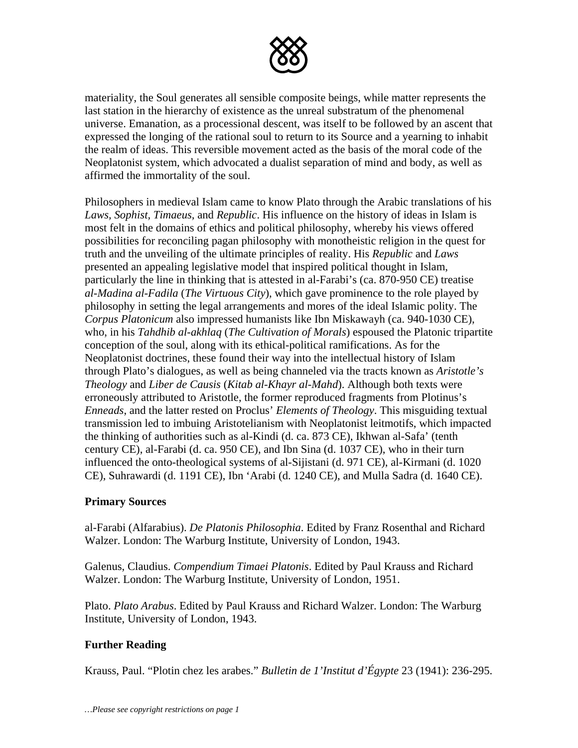

materiality, the Soul generates all sensible composite beings, while matter represents the last station in the hierarchy of existence as the unreal substratum of the phenomenal universe. Emanation, as a processional descent, was itself to be followed by an ascent that expressed the longing of the rational soul to return to its Source and a yearning to inhabit the realm of ideas. This reversible movement acted as the basis of the moral code of the Neoplatonist system, which advocated a dualist separation of mind and body, as well as affirmed the immortality of the soul.

Philosophers in medieval Islam came to know Plato through the Arabic translations of his *Laws, Sophist, Timaeus,* and *Republic*. His influence on the history of ideas in Islam is most felt in the domains of ethics and political philosophy, whereby his views offered possibilities for reconciling pagan philosophy with monotheistic religion in the quest for truth and the unveiling of the ultimate principles of reality. His *Republic* and *Laws*  presented an appealing legislative model that inspired political thought in Islam, particularly the line in thinking that is attested in al-Farabi's (ca. 870-950 CE) treatise *al-Madina al-Fadila* (*The Virtuous City*), which gave prominence to the role played by philosophy in setting the legal arrangements and mores of the ideal Islamic polity. The *Corpus Platonicum* also impressed humanists like Ibn Miskawayh (ca. 940-1030 CE), who, in his *Tahdhib al-akhlaq* (*The Cultivation of Morals*) espoused the Platonic tripartite conception of the soul, along with its ethical-political ramifications. As for the Neoplatonist doctrines, these found their way into the intellectual history of Islam through Plato's dialogues, as well as being channeled via the tracts known as *Aristotle's Theology* and *Liber de Causis* (*Kitab al-Khayr al-Mahd*). Although both texts were erroneously attributed to Aristotle, the former reproduced fragments from Plotinus's *Enneads*, and the latter rested on Proclus' *Elements of Theology*. This misguiding textual transmission led to imbuing Aristotelianism with Neoplatonist leitmotifs, which impacted the thinking of authorities such as al-Kindi (d. ca. 873 CE), Ikhwan al-Safa' (tenth century CE), al-Farabi (d. ca. 950 CE), and Ibn Sina (d. 1037 CE), who in their turn influenced the onto-theological systems of al-Sijistani (d. 971 CE), al-Kirmani (d. 1020 CE), Suhrawardi (d. 1191 CE), Ibn 'Arabi (d. 1240 CE), and Mulla Sadra (d. 1640 CE).

## **Primary Sources**

al-Farabi (Alfarabius). *De Platonis Philosophia*. Edited by Franz Rosenthal and Richard Walzer. London: The Warburg Institute, University of London, 1943.

Galenus, Claudius. *Compendium Timaei Platonis*. Edited by Paul Krauss and Richard Walzer. London: The Warburg Institute, University of London, 1951.

Plato. *Plato Arabus*. Edited by Paul Krauss and Richard Walzer. London: The Warburg Institute, University of London, 1943.

## **Further Reading**

Krauss, Paul. "Plotin chez les arabes." *Bulletin de 1'Institut d'Égypte* 23 (1941): 236-295.